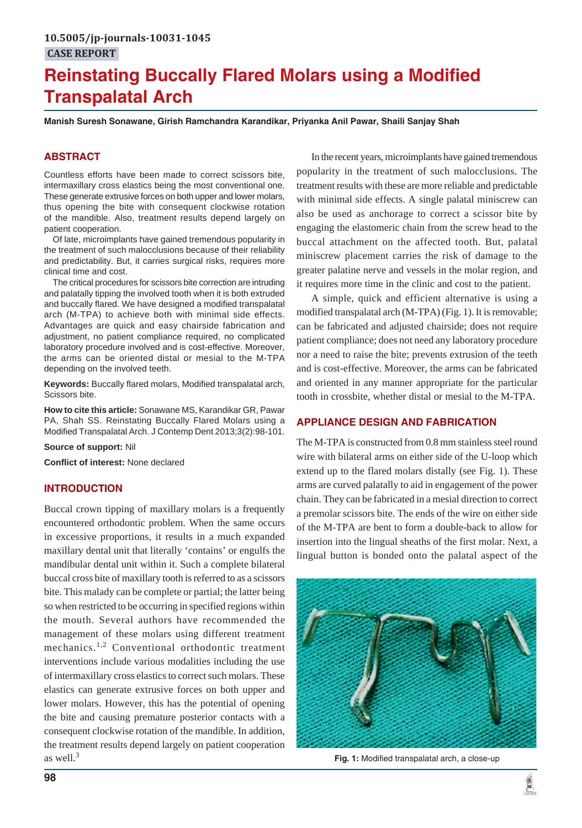# **Reinstating Buccally Flared Molars using a Modified Transpalatal Arch**

**Manish Suresh Sonawane, Girish Ramchandra Karandikar, Priyanka Anil Pawar, Shaili Sanjay Shah**

# **ABSTRACT**

Countless efforts have been made to correct scissors bite, intermaxillary cross elastics being the most conventional one. These generate extrusive forces on both upper and lower molars, thus opening the bite with consequent clockwise rotation of the mandible. Also, treatment results depend largely on patient cooperation.

Of late, microimplants have gained tremendous popularity in the treatment of such malocclusions because of their reliability and predictability. But, it carries surgical risks, requires more clinical time and cost.

The critical procedures for scissors bite correction are intruding and palatally tipping the involved tooth when it is both extruded and buccally flared. We have designed a modified transpalatal arch (M-TPA) to achieve both with minimal side effects. Advantages are quick and easy chairside fabrication and adjustment, no patient compliance required, no complicated laboratory procedure involved and is cost-effective. Moreover, the arms can be oriented distal or mesial to the M-TPA depending on the involved teeth.

**Keywords:** Buccally flared molars, Modified transpalatal arch, Scissors bite.

**How to cite this article:** Sonawane MS, Karandikar GR, Pawar PA, Shah SS. Reinstating Buccally Flared Molars using a Modified Transpalatal Arch. J Contemp Dent 2013;3(2):98-101.

**Source of support:** Nil

**Conflict of interest:** None declared

# **INTRODUCTION**

Buccal crown tipping of maxillary molars is a frequently encountered orthodontic problem. When the same occurs in excessive proportions, it results in a much expanded maxillary dental unit that literally 'contains' or engulfs the mandibular dental unit within it. Such a complete bilateral buccal cross bite of maxillary tooth is referred to as a scissors bite. This malady can be complete or partial; the latter being so when restricted to be occurring in specified regions within the mouth. Several authors have recommended the management of these molars using different treatment mechanics.<sup>1,2</sup> Conventional orthodontic treatment interventions include various modalities including the use of intermaxillary cross elastics to correct such molars. These elastics can generate extrusive forces on both upper and lower molars. However, this has the potential of opening the bite and causing premature posterior contacts with a consequent clockwise rotation of the mandible. In addition, the treatment results depend largely on patient cooperation as well.<sup>3</sup>

In the recent years, microimplants have gained tremendous popularity in the treatment of such malocclusions. The treatment results with these are more reliable and predictable with minimal side effects. A single palatal miniscrew can also be used as anchorage to correct a scissor bite by engaging the elastomeric chain from the screw head to the buccal attachment on the affected tooth. But, palatal miniscrew placement carries the risk of damage to the greater palatine nerve and vessels in the molar region, and it requires more time in the clinic and cost to the patient.

A simple, quick and efficient alternative is using a modified transpalatal arch (M-TPA) (Fig. 1). It is removable; can be fabricated and adjusted chairside; does not require patient compliance; does not need any laboratory procedure nor a need to raise the bite; prevents extrusion of the teeth and is cost-effective. Moreover, the arms can be fabricated and oriented in any manner appropriate for the particular tooth in crossbite, whether distal or mesial to the M-TPA.

### **APPLIANCE DESIGN AND FABRICATION**

The M-TPA is constructed from 0.8 mm stainless steel round wire with bilateral arms on either side of the U-loop which extend up to the flared molars distally (see Fig. 1). These arms are curved palatally to aid in engagement of the power chain. They can be fabricated in a mesial direction to correct a premolar scissors bite. The ends of the wire on either side of the M-TPA are bent to form a double-back to allow for insertion into the lingual sheaths of the first molar. Next, a lingual button is bonded onto the palatal aspect of the



**Fig. 1:** Modified transpalatal arch, a close-up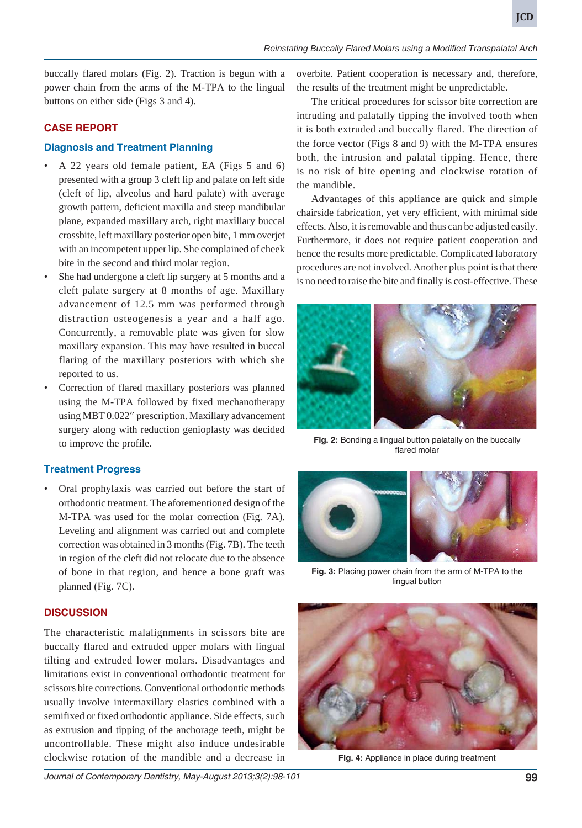buccally flared molars (Fig. 2). Traction is begun with a power chain from the arms of the M-TPA to the lingual buttons on either side (Figs 3 and 4).

## **CASE REPORT**

### **Diagnosis and Treatment Planning**

- A 22 years old female patient, EA (Figs 5 and 6) presented with a group 3 cleft lip and palate on left side (cleft of lip, alveolus and hard palate) with average growth pattern, deficient maxilla and steep mandibular plane, expanded maxillary arch, right maxillary buccal crossbite, left maxillary posterior open bite, 1 mm overjet with an incompetent upper lip. She complained of cheek bite in the second and third molar region.
- She had undergone a cleft lip surgery at 5 months and a cleft palate surgery at 8 months of age. Maxillary advancement of 12.5 mm was performed through distraction osteogenesis a year and a half ago. Concurrently, a removable plate was given for slow maxillary expansion. This may have resulted in buccal flaring of the maxillary posteriors with which she reported to us.
- Correction of flared maxillary posteriors was planned using the M-TPA followed by fixed mechanotherapy using MBT 0.022" prescription. Maxillary advancement surgery along with reduction genioplasty was decided to improve the profile.

### **Treatment Progress**

• Oral prophylaxis was carried out before the start of orthodontic treatment. The aforementioned design of the M-TPA was used for the molar correction (Fig. 7A). Leveling and alignment was carried out and complete correction was obtained in 3 months (Fig. 7B). The teeth in region of the cleft did not relocate due to the absence of bone in that region, and hence a bone graft was planned (Fig. 7C).

### **DISCUSSION**

The characteristic malalignments in scissors bite are buccally flared and extruded upper molars with lingual tilting and extruded lower molars. Disadvantages and limitations exist in conventional orthodontic treatment for scissors bite corrections. Conventional orthodontic methods usually involve intermaxillary elastics combined with a semifixed or fixed orthodontic appliance. Side effects, such as extrusion and tipping of the anchorage teeth, might be uncontrollable. These might also induce undesirable clockwise rotation of the mandible and a decrease in

overbite. Patient cooperation is necessary and, therefore, the results of the treatment might be unpredictable.

The critical procedures for scissor bite correction are intruding and palatally tipping the involved tooth when it is both extruded and buccally flared. The direction of the force vector (Figs 8 and 9) with the M-TPA ensures both, the intrusion and palatal tipping. Hence, there is no risk of bite opening and clockwise rotation of the mandible.

Advantages of this appliance are quick and simple chairside fabrication, yet very efficient, with minimal side effects. Also, it is removable and thus can be adjusted easily. Furthermore, it does not require patient cooperation and hence the results more predictable. Complicated laboratory procedures are not involved. Another plus point is that there is no need to raise the bite and finally is cost-effective. These



**Fig. 2:** Bonding a lingual button palatally on the buccally flared molar



**Fig. 3:** Placing power chain from the arm of M-TPA to the lingual button



**Fig. 4:** Appliance in place during treatment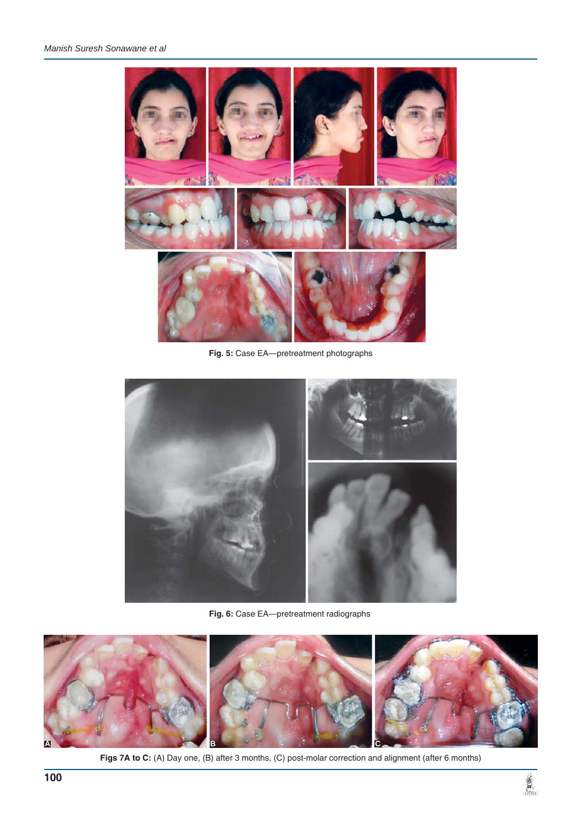

**Fig. 5:** Case EA—pretreatment photographs



**Fig. 6:** Case EA—pretreatment radiographs



Figs 7A to C: (A) Day one, (B) after 3 months, (C) post-molar correction and alignment (after 6 months)